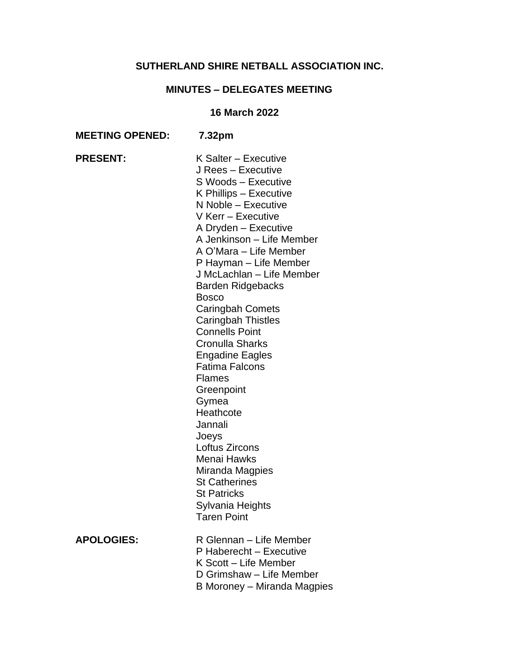# **SUTHERLAND SHIRE NETBALL ASSOCIATION INC.**

# **MINUTES – DELEGATES MEETING**

## **16 March 2022**

| <b>MEETING OPENED:</b> | 7.32pm                                                                                                                                                                                                                                                                                                                                                                                                                                                                                                                                                                                                                                                                                                        |
|------------------------|---------------------------------------------------------------------------------------------------------------------------------------------------------------------------------------------------------------------------------------------------------------------------------------------------------------------------------------------------------------------------------------------------------------------------------------------------------------------------------------------------------------------------------------------------------------------------------------------------------------------------------------------------------------------------------------------------------------|
| <b>PRESENT:</b>        | K Salter - Executive<br>J Rees - Executive<br>S Woods - Executive<br>K Phillips - Executive<br>N Noble - Executive<br>V Kerr - Executive<br>A Dryden - Executive<br>A Jenkinson - Life Member<br>A O'Mara - Life Member<br>P Hayman - Life Member<br>J McLachlan - Life Member<br><b>Barden Ridgebacks</b><br><b>Bosco</b><br><b>Caringbah Comets</b><br><b>Caringbah Thistles</b><br><b>Connells Point</b><br><b>Cronulla Sharks</b><br><b>Engadine Eagles</b><br><b>Fatima Falcons</b><br><b>Flames</b><br>Greenpoint<br>Gymea<br>Heathcote<br>Jannali<br>Joeys<br>Loftus Zircons<br>Menai Hawks<br>Miranda Magpies<br><b>St Catherines</b><br><b>St Patricks</b><br>Sylvania Heights<br><b>Taren Point</b> |
| <b>APOLOGIES:</b>      | R Glennan - Life Member<br>P Haberecht - Executive<br>K Scott - Life Member<br>D Grimshaw - Life Member<br>B Moroney - Miranda Magpies                                                                                                                                                                                                                                                                                                                                                                                                                                                                                                                                                                        |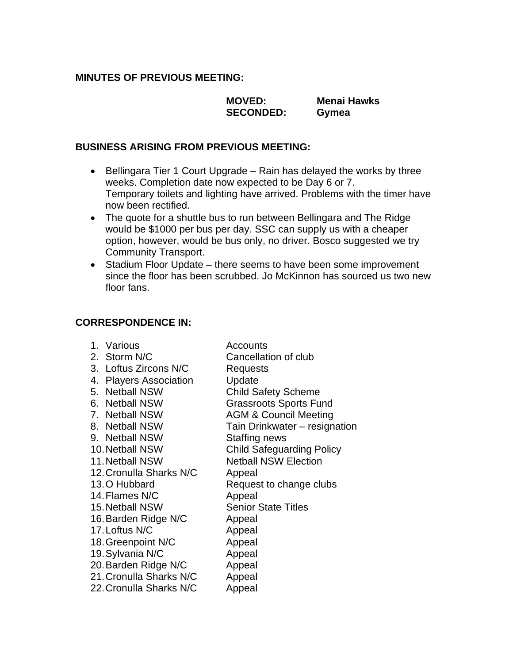## **MINUTES OF PREVIOUS MEETING:**

**MOVED: Menai Hawks SECONDED: Gymea**

## **BUSINESS ARISING FROM PREVIOUS MEETING:**

- Bellingara Tier 1 Court Upgrade Rain has delayed the works by three weeks. Completion date now expected to be Day 6 or 7. Temporary toilets and lighting have arrived. Problems with the timer have now been rectified.
- The quote for a shuttle bus to run between Bellingara and The Ridge would be \$1000 per bus per day. SSC can supply us with a cheaper option, however, would be bus only, no driver. Bosco suggested we try Community Transport.
- Stadium Floor Update there seems to have been some improvement since the floor has been scrubbed. Jo McKinnon has sourced us two new floor fans.

## **CORRESPONDENCE IN:**

| 1. Various              | <b>Accounts</b>                  |
|-------------------------|----------------------------------|
| 2. Storm N/C            | Cancellation of club             |
| 3. Loftus Zircons N/C   | Requests                         |
| 4. Players Association  | Update                           |
| 5. Netball NSW          | <b>Child Safety Scheme</b>       |
| 6. Netball NSW          | <b>Grassroots Sports Fund</b>    |
| 7. Netball NSW          | <b>AGM &amp; Council Meeting</b> |
| 8. Netball NSW          | Tain Drinkwater - resignation    |
| 9. Netball NSW          | Staffing news                    |
| 10. Netball NSW         | <b>Child Safeguarding Policy</b> |
| 11. Netball NSW         | <b>Netball NSW Election</b>      |
| 12. Cronulla Sharks N/C | Appeal                           |
| 13. O Hubbard           | Request to change clubs          |
| 14. Flames N/C          | Appeal                           |
| 15. Netball NSW         | <b>Senior State Titles</b>       |
| 16. Barden Ridge N/C    | Appeal                           |
| 17. Loftus N/C          | Appeal                           |
| 18. Greenpoint N/C      | Appeal                           |
| 19. Sylvania N/C        | Appeal                           |
| 20. Barden Ridge N/C    | Appeal                           |
| 21. Cronulla Sharks N/C | Appeal                           |
| 22. Cronulla Sharks N/C | Appeal                           |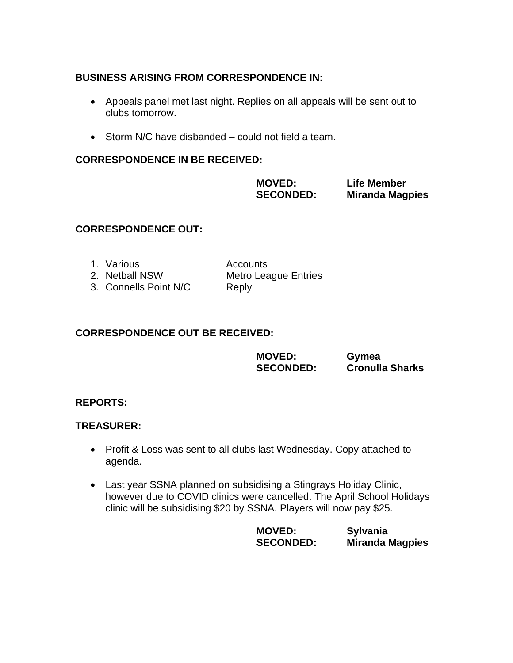## **BUSINESS ARISING FROM CORRESPONDENCE IN:**

- Appeals panel met last night. Replies on all appeals will be sent out to clubs tomorrow.
- Storm N/C have disbanded could not field a team.

## **CORRESPONDENCE IN BE RECEIVED:**

**MOVED: Life Member**

**SECONDED: Miranda Magpies** 

## **CORRESPONDENCE OUT:**

| 1. Various            | Accounts                    |
|-----------------------|-----------------------------|
| 2. Netball NSW        | <b>Metro League Entries</b> |
| 3. Connells Point N/C | Reply                       |

## **CORRESPONDENCE OUT BE RECEIVED:**

| <b>MOVED:</b>    | Gymea                  |
|------------------|------------------------|
| <b>SECONDED:</b> | <b>Cronulla Sharks</b> |

### **REPORTS:**

### **TREASURER:**

- Profit & Loss was sent to all clubs last Wednesday. Copy attached to agenda.
- Last year SSNA planned on subsidising a Stingrays Holiday Clinic, however due to COVID clinics were cancelled. The April School Holidays clinic will be subsidising \$20 by SSNA. Players will now pay \$25.

**MOVED: Sylvania Miranda Magpies**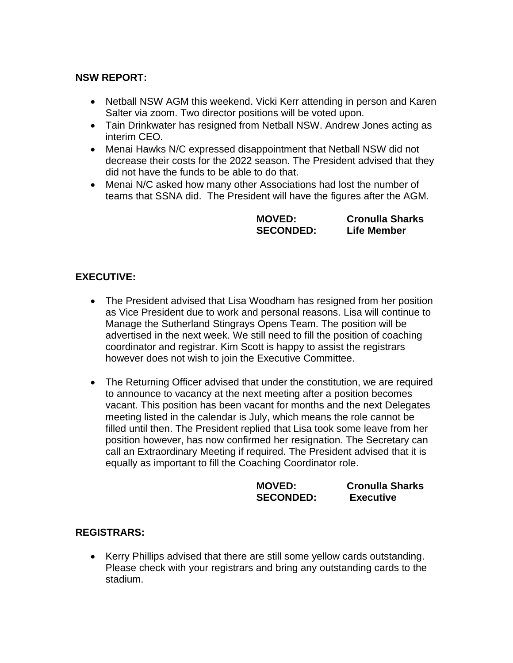## **NSW REPORT:**

- Netball NSW AGM this weekend. Vicki Kerr attending in person and Karen Salter via zoom. Two director positions will be voted upon.
- Tain Drinkwater has resigned from Netball NSW. Andrew Jones acting as interim CEO.
- Menai Hawks N/C expressed disappointment that Netball NSW did not decrease their costs for the 2022 season. The President advised that they did not have the funds to be able to do that.
- Menai N/C asked how many other Associations had lost the number of teams that SSNA did. The President will have the figures after the AGM.

**MOVED: Cronulla Sharks SECONDED: Life Member**

## **EXECUTIVE:**

- The President advised that Lisa Woodham has resigned from her position as Vice President due to work and personal reasons. Lisa will continue to Manage the Sutherland Stingrays Opens Team. The position will be advertised in the next week. We still need to fill the position of coaching coordinator and registrar. Kim Scott is happy to assist the registrars however does not wish to join the Executive Committee.
- The Returning Officer advised that under the constitution, we are required to announce to vacancy at the next meeting after a position becomes vacant. This position has been vacant for months and the next Delegates meeting listed in the calendar is July, which means the role cannot be filled until then. The President replied that Lisa took some leave from her position however, has now confirmed her resignation. The Secretary can call an Extraordinary Meeting if required. The President advised that it is equally as important to fill the Coaching Coordinator role.

**MOVED: Cronulla Sharks SECONDED: Executive** 

## **REGISTRARS:**

• Kerry Phillips advised that there are still some yellow cards outstanding. Please check with your registrars and bring any outstanding cards to the stadium.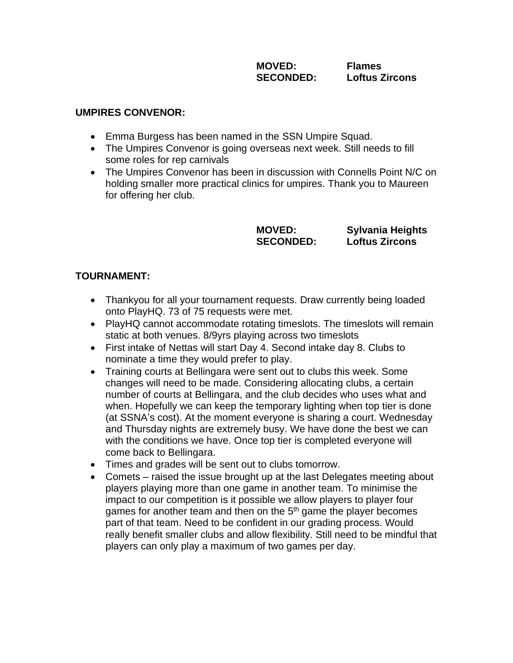**MOVED: Flames SECONDED: Loftus Zircons**

#### **UMPIRES CONVENOR:**

- Emma Burgess has been named in the SSN Umpire Squad.
- The Umpires Convenor is going overseas next week. Still needs to fill some roles for rep carnivals
- The Umpires Convenor has been in discussion with Connells Point N/C on holding smaller more practical clinics for umpires. Thank you to Maureen for offering her club.

**MOVED: Sylvania Heights SECONDED: Loftus Zircons**

## **TOURNAMENT:**

- Thankyou for all your tournament requests. Draw currently being loaded onto PlayHQ. 73 of 75 requests were met.
- PlayHQ cannot accommodate rotating timeslots. The timeslots will remain static at both venues. 8/9yrs playing across two timeslots
- First intake of Nettas will start Day 4. Second intake day 8. Clubs to nominate a time they would prefer to play.
- Training courts at Bellingara were sent out to clubs this week. Some changes will need to be made. Considering allocating clubs, a certain number of courts at Bellingara, and the club decides who uses what and when. Hopefully we can keep the temporary lighting when top tier is done (at SSNA's cost). At the moment everyone is sharing a court. Wednesday and Thursday nights are extremely busy. We have done the best we can with the conditions we have. Once top tier is completed everyone will come back to Bellingara.
- Times and grades will be sent out to clubs tomorrow.
- Comets raised the issue brought up at the last Delegates meeting about players playing more than one game in another team. To minimise the impact to our competition is it possible we allow players to player four games for another team and then on the 5<sup>th</sup> game the player becomes part of that team. Need to be confident in our grading process. Would really benefit smaller clubs and allow flexibility. Still need to be mindful that players can only play a maximum of two games per day.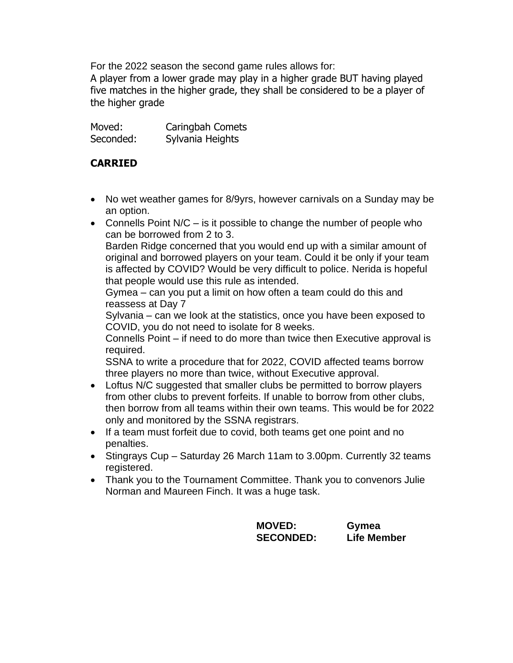For the 2022 season the second game rules allows for:

A player from a lower grade may play in a higher grade BUT having played five matches in the higher grade, they shall be considered to be a player of the higher grade

Moved: Caringbah Comets Seconded: Sylvania Heights

## **CARRIED**

- No wet weather games for 8/9yrs, however carnivals on a Sunday may be an option.
- Connells Point  $N/C iS$  it possible to change the number of people who can be borrowed from 2 to 3.

Barden Ridge concerned that you would end up with a similar amount of original and borrowed players on your team. Could it be only if your team is affected by COVID? Would be very difficult to police. Nerida is hopeful that people would use this rule as intended.

Gymea – can you put a limit on how often a team could do this and reassess at Day 7

Sylvania – can we look at the statistics, once you have been exposed to COVID, you do not need to isolate for 8 weeks.

Connells Point – if need to do more than twice then Executive approval is required.

SSNA to write a procedure that for 2022, COVID affected teams borrow three players no more than twice, without Executive approval.

- Loftus N/C suggested that smaller clubs be permitted to borrow players from other clubs to prevent forfeits. If unable to borrow from other clubs, then borrow from all teams within their own teams. This would be for 2022 only and monitored by the SSNA registrars.
- If a team must forfeit due to covid, both teams get one point and no penalties.
- Stingrays Cup Saturday 26 March 11am to 3.00pm. Currently 32 teams registered.
- Thank you to the Tournament Committee. Thank you to convenors Julie Norman and Maureen Finch. It was a huge task.

**MOVED: Gymea SECONDED: Life Member**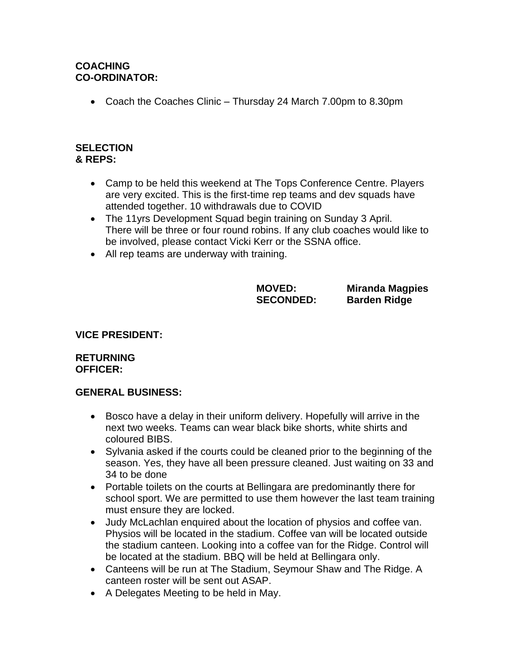## **COACHING CO-ORDINATOR:**

• Coach the Coaches Clinic – Thursday 24 March 7.00pm to 8.30pm

#### **SELECTION & REPS:**

- Camp to be held this weekend at The Tops Conference Centre. Players are very excited. This is the first-time rep teams and dev squads have attended together. 10 withdrawals due to COVID
- The 11yrs Development Squad begin training on Sunday 3 April. There will be three or four round robins. If any club coaches would like to be involved, please contact Vicki Kerr or the SSNA office.
- All rep teams are underway with training.

**MOVED: Miranda Magpies SECONDED: Barden Ridge** 

## **VICE PRESIDENT:**

#### **RETURNING OFFICER:**

### **GENERAL BUSINESS:**

- Bosco have a delay in their uniform delivery. Hopefully will arrive in the next two weeks. Teams can wear black bike shorts, white shirts and coloured BIBS.
- Sylvania asked if the courts could be cleaned prior to the beginning of the season. Yes, they have all been pressure cleaned. Just waiting on 33 and 34 to be done
- Portable toilets on the courts at Bellingara are predominantly there for school sport. We are permitted to use them however the last team training must ensure they are locked.
- Judy McLachlan enquired about the location of physios and coffee van. Physios will be located in the stadium. Coffee van will be located outside the stadium canteen. Looking into a coffee van for the Ridge. Control will be located at the stadium. BBQ will be held at Bellingara only.
- Canteens will be run at The Stadium, Seymour Shaw and The Ridge. A canteen roster will be sent out ASAP.
- A Delegates Meeting to be held in May.